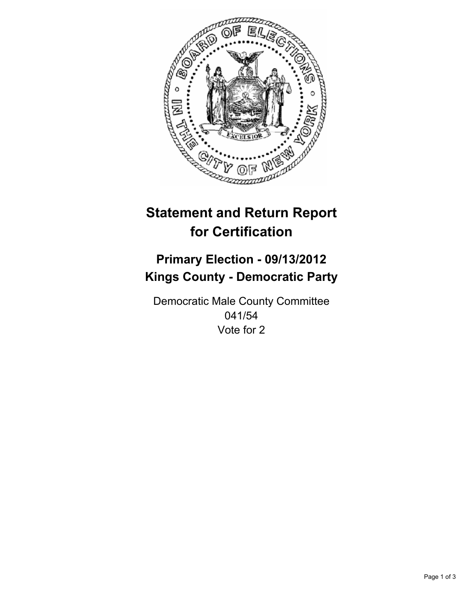

# **Statement and Return Report for Certification**

## **Primary Election - 09/13/2012 Kings County - Democratic Party**

Democratic Male County Committee 041/54 Vote for 2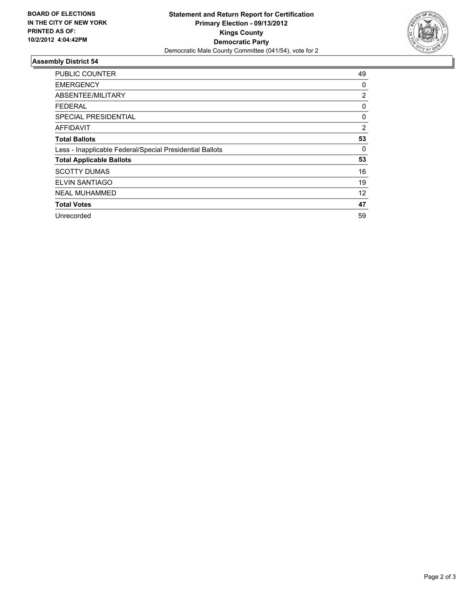

### **Assembly District 54**

| PUBLIC COUNTER                                           | 49 |
|----------------------------------------------------------|----|
| <b>EMERGENCY</b>                                         | 0  |
| ABSENTEE/MILITARY                                        | 2  |
| FEDERAL                                                  | 0  |
| <b>SPECIAL PRESIDENTIAL</b>                              | 0  |
| AFFIDAVIT                                                | 2  |
| <b>Total Ballots</b>                                     | 53 |
| Less - Inapplicable Federal/Special Presidential Ballots | 0  |
| <b>Total Applicable Ballots</b>                          | 53 |
| <b>SCOTTY DUMAS</b>                                      | 16 |
| <b>ELVIN SANTIAGO</b>                                    | 19 |
| <b>NEAL MUHAMMED</b>                                     | 12 |
| <b>Total Votes</b>                                       | 47 |
| Unrecorded                                               | 59 |